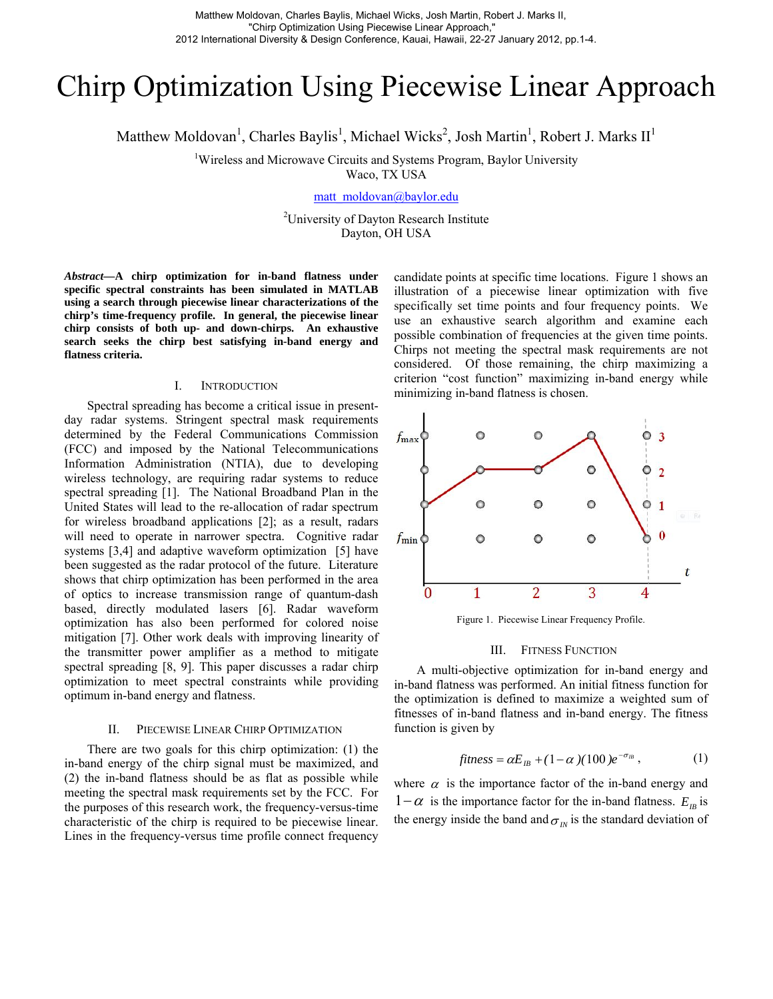# Chirp Optimization Using Piecewise Linear Approach

Matthew Moldovan<sup>1</sup>, Charles Baylis<sup>1</sup>, Michael Wicks<sup>2</sup>, Josh Martin<sup>1</sup>, Robert J. Marks II<sup>1</sup>

<sup>1</sup>Wireless and Microwave Circuits and Systems Program, Baylor University

Waco, TX USA

[matt\\_moldovan@baylor.edu](mailto:matt_moldovan@baylor.edu)

<sup>2</sup>University of Dayton Research Institute Dayton, OH USA

*Abstract***—A chirp optimization for in-band flatness under specific spectral constraints has been simulated in MATLAB using a search through piecewise linear characterizations of the chirp's time-frequency profile. In general, the piecewise linear chirp consists of both up- and down-chirps. An exhaustive search seeks the chirp best satisfying in-band energy and flatness criteria.** 

## I. INTRODUCTION

Spectral spreading has become a critical issue in presentday radar systems. Stringent spectral mask requirements determined by the Federal Communications Commission (FCC) and imposed by the National Telecommunications Information Administration (NTIA), due to developing wireless technology, are requiring radar systems to reduce spectral spreading [1]. The National Broadband Plan in the United States will lead to the re-allocation of radar spectrum for wireless broadband applications [2]; as a result, radars will need to operate in narrower spectra. Cognitive radar systems [3,4] and adaptive waveform optimization [5] have been suggested as the radar protocol of the future. Literature shows that chirp optimization has been performed in the area of optics to increase transmission range of quantum-dash based, directly modulated lasers [6]. Radar waveform optimization has also been performed for colored noise mitigation [7]. Other work deals with improving linearity of the transmitter power amplifier as a method to mitigate spectral spreading [8, 9]. This paper discusses a radar chirp optimization to meet spectral constraints while providing optimum in-band energy and flatness.

# II. PIECEWISE LINEAR CHIRP OPTIMIZATION

There are two goals for this chirp optimization: (1) the in-band energy of the chirp signal must be maximized, and (2) the in-band flatness should be as flat as possible while meeting the spectral mask requirements set by the FCC. For the purposes of this research work, the frequency-versus-time characteristic of the chirp is required to be piecewise linear. Lines in the frequency-versus time profile connect frequency

candidate points at specific time locations. Figure 1 shows an illustration of a piecewise linear optimization with five specifically set time points and four frequency points. We use an exhaustive search algorithm and examine each possible combination of frequencies at the given time points. Chirps not meeting the spectral mask requirements are not considered. Of those remaining, the chirp maximizing a criterion "cost function" maximizing in-band energy while minimizing in-band flatness is chosen.



Figure 1. Piecewise Linear Frequency Profile.

## III. FITNESS FUNCTION

A multi-objective optimization for in-band energy and in-band flatness was performed. An initial fitness function for the optimization is defined to maximize a weighted sum of fitnesses of in-band flatness and in-band energy. The fitness function is given by

$$
fitness = \alpha E_{\scriptscriptstyle IB} + (1 - \alpha)(100) e^{-\sigma_{\scriptscriptstyle IB}}, \qquad (1)
$$

where  $\alpha$  is the importance factor of the in-band energy and  $1-\alpha$  is the importance factor for the in-band flatness.  $E_B$  is the energy inside the band and  $\sigma_{I_N}$  is the standard deviation of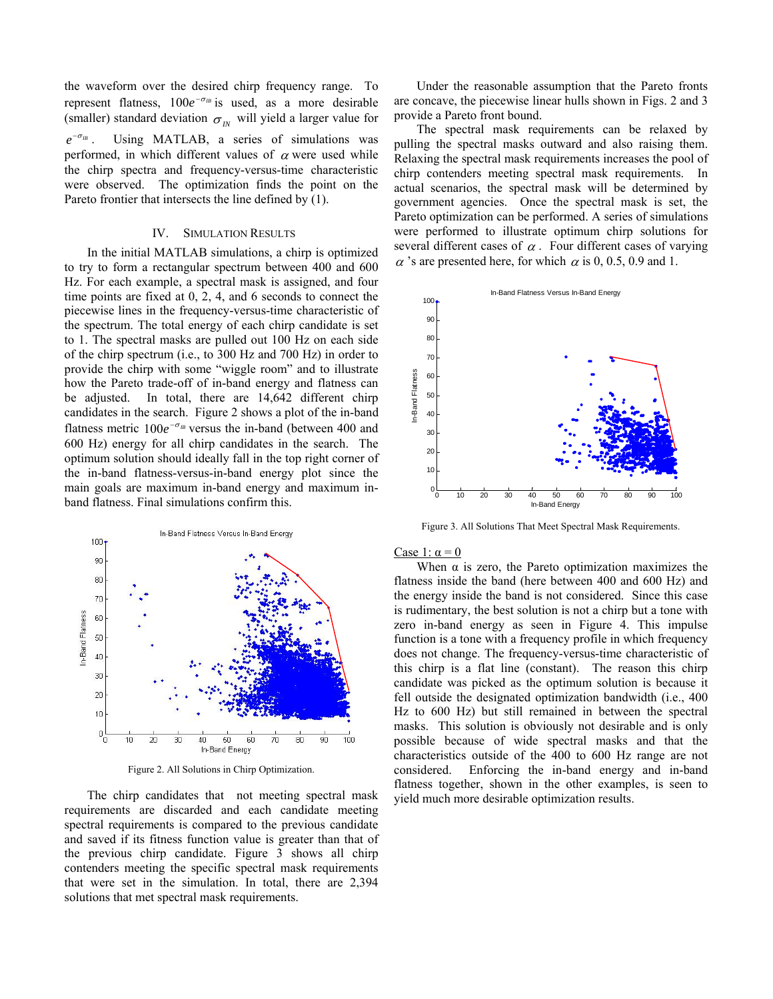the waveform over the desired chirp frequency range. To represent flatness,  $100e^{-\sigma_B}$  is used, as a more desirable (smaller) standard deviation  $\sigma_{I_N}$  will yield a larger value for . Using MATLAB, a series of simulations was performed, in which different values of  $\alpha$  were used while  $e^{-\sigma_B}$ the chirp spectra and frequency-versus-time characteristic were observed. The optimization finds the point on the Pareto frontier that intersects the line defined by (1).

## IV. SIMULATION RESULTS

In the initial MATLAB simulations, a chirp is optimized to try to form a rectangular spectrum between 400 and 600 Hz. For each example, a spectral mask is assigned, and four time points are fixed at 0, 2, 4, and 6 seconds to connect the piecewise lines in the frequency-versus-time characteristic of the spectrum. The total energy of each chirp candidate is set to 1. The spectral masks are pulled out 100 Hz on each side of the chirp spectrum (i.e., to 300 Hz and 700 Hz) in order to provide the chirp with some "wiggle room" and to illustrate how the Pareto trade-off of in-band energy and flatness can be adjusted. In total, there are 14,642 different chirp candidates in the search. Figure 2 shows a plot of the in-band flatness metric  $100e^{-\sigma_B}$  versus the in-band (between 400 and 600 Hz) energy for all chirp candidates in the search. The optimum solution should ideally fall in the top right corner of the in-band flatness-versus-in-band energy plot since the main goals are maximum in-band energy and maximum inband flatness. Final simulations confirm this.



Figure 2. All Solutions in Chirp Optimization.

The chirp candidates that not meeting spectral mask requirements are discarded and each candidate meeting spectral requirements is compared to the previous candidate and saved if its fitness function value is greater than that of the previous chirp candidate. Figure 3 shows all chirp contenders meeting the specific spectral mask requirements that were set in the simulation. In total, there are 2,394 solutions that met spectral mask requirements.

Under the reasonable assumption that the Pareto fronts are concave, the piecewise linear hulls shown in Figs. 2 and 3 provide a Pareto front bound.

The spectral mask requirements can be relaxed by pulling the spectral masks outward and also raising them. Relaxing the spectral mask requirements increases the pool of chirp contenders meeting spectral mask requirements. In actual scenarios, the spectral mask will be determined by government agencies. Once the spectral mask is set, the Pareto optimization can be performed. A series of simulations were performed to illustrate optimum chirp solutions for several different cases of  $\alpha$ . Four different cases of varying  $\alpha$  's are presented here, for which  $\alpha$  is 0, 0.5, 0.9 and 1.



Figure 3. All Solutions That Meet Spectral Mask Requirements.

#### Case 1:  $\alpha = 0$

When  $\alpha$  is zero, the Pareto optimization maximizes the flatness inside the band (here between 400 and 600 Hz) and the energy inside the band is not considered. Since this case is rudimentary, the best solution is not a chirp but a tone with zero in-band energy as seen in Figure 4. This impulse function is a tone with a frequency profile in which frequency does not change. The frequency-versus-time characteristic of this chirp is a flat line (constant). The reason this chirp candidate was picked as the optimum solution is because it fell outside the designated optimization bandwidth (i.e., 400 Hz to 600 Hz) but still remained in between the spectral masks. This solution is obviously not desirable and is only possible because of wide spectral masks and that the characteristics outside of the 400 to 600 Hz range are not considered. Enforcing the in-band energy and in-band flatness together, shown in the other examples, is seen to yield much more desirable optimization results.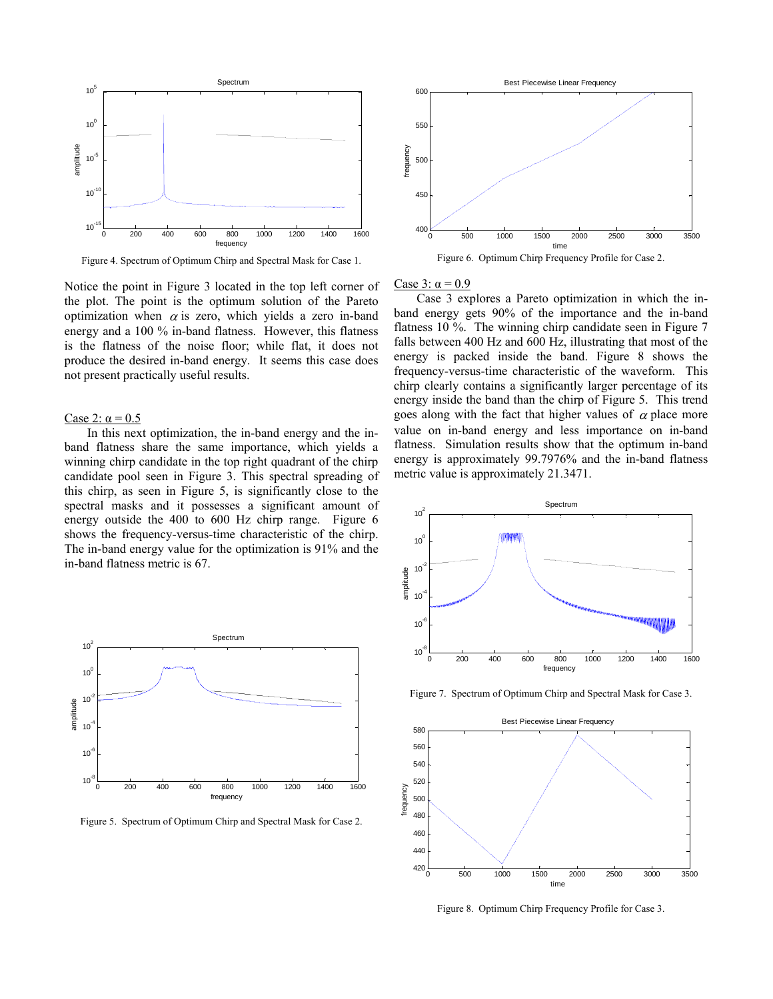

Figure 4. Spectrum of Optimum Chirp and Spectral Mask for Case 1.

Notice the point in Figure 3 located in the top left corner of the plot. The point is the optimum solution of the Pareto optimization when  $\alpha$  is zero, which yields a zero in-band energy and a 100 % in-band flatness. However, this flatness is the flatness of the noise floor; while flat, it does not produce the desired in-band energy. It seems this case does not present practically useful results.

## Case 2:  $\alpha$  = 0.5

In this next optimization, the in-band energy and the inband flatness share the same importance, which yields a winning chirp candidate in the top right quadrant of the chirp candidate pool seen in Figure 3. This spectral spreading of this chirp, as seen in Figure 5, is significantly close to the spectral masks and it possesses a significant amount of energy outside the 400 to 600 Hz chirp range. Figure 6 shows the frequency-versus-time characteristic of the chirp. The in-band energy value for the optimization is 91% and the in-band flatness metric is 67.



Figure 5. Spectrum of Optimum Chirp and Spectral Mask for Case 2.



Figure 6. Optimum Chirp Frequency Profile for Case 2.

### Case 3:  $\alpha$  = 0.9

Case 3 explores a Pareto optimization in which the inband energy gets 90% of the importance and the in-band flatness 10 %. The winning chirp candidate seen in Figure 7 falls between 400 Hz and 600 Hz, illustrating that most of the energy is packed inside the band. Figure 8 shows the frequency-versus-time characteristic of the waveform. This chirp clearly contains a significantly larger percentage of its energy inside the band than the chirp of Figure 5. This trend goes along with the fact that higher values of  $\alpha$  place more value on in-band energy and less importance on in-band flatness. Simulation results show that the optimum in-band energy is approximately 99.7976% and the in-band flatness metric value is approximately 21.3471.



Figure 7. Spectrum of Optimum Chirp and Spectral Mask for Case 3.



Figure 8. Optimum Chirp Frequency Profile for Case 3.